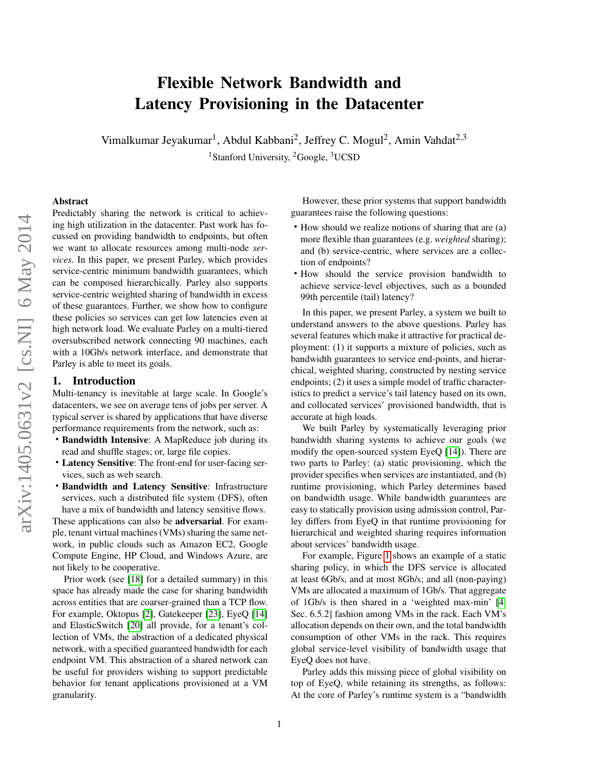# Flexible Network Bandwidth and Latency Provisioning in the Datacenter

Vimalkumar Jeyakumar<sup>1</sup>, Abdul Kabbani<sup>2</sup>, Jeffrey C. Mogul<sup>2</sup>, Amin Vahdat<sup>2,3</sup> <sup>1</sup>Stanford University, <sup>2</sup>Google, <sup>3</sup>UCSD

#### Abstract

Predictably sharing the network is critical to achieving high utilization in the datacenter. Past work has focussed on providing bandwidth to endpoints, but often we want to allocate resources among multi-node *services*. In this paper, we present Parley, which provides service-centric minimum bandwidth guarantees, which can be composed hierarchically. Parley also supports service-centric weighted sharing of bandwidth in excess of these guarantees. Further, we show how to configure these policies so services can get low latencies even at high network load. We evaluate Parley on a multi-tiered oversubscribed network connecting 90 machines, each with a 10Gb/s network interface, and demonstrate that Parley is able to meet its goals.

#### <span id="page-0-0"></span>1. Introduction

Multi-tenancy is inevitable at large scale. In Google's datacenters, we see on average tens of jobs per server. A typical server is shared by applications that have diverse performance requirements from the network, such as:

- Bandwidth Intensive: A MapReduce job during its read and shuffle stages; or, large file copies.
- Latency Sensitive: The front-end for user-facing services, such as web search.
- Bandwidth and Latency Sensitive: Infrastructure services, such a distributed file system (DFS), often have a mix of bandwidth and latency sensitive flows.

These applications can also be adversarial. For example, tenant virtual machines (VMs) sharing the same network, in public clouds such as Amazon EC2, Google Compute Engine, HP Cloud, and Windows Azure, are not likely to be cooperative.

Prior work (see [\[18\]](#page-13-0) for a detailed summary) in this space has already made the case for sharing bandwidth across entities that are coarser-grained than a TCP flow. For example, Oktopus [\[2\]](#page-13-1), Gatekeeper [\[23\]](#page-13-2), EyeQ [\[14\]](#page-13-3) and ElasticSwitch [\[20\]](#page-13-4) all provide, for a tenant's collection of VMs, the abstraction of a dedicated physical network, with a specified guaranteed bandwidth for each endpoint VM. This abstraction of a shared network can be useful for providers wishing to support predictable behavior for tenant applications provisioned at a VM granularity.

However, these prior systems that support bandwidth guarantees raise the following questions:

- How should we realize notions of sharing that are (a) more flexible than guarantees (e.g. *weighted* sharing); and (b) service-centric, where services are a collection of endpoints?
- How should the service provision bandwidth to achieve service-level objectives, such as a bounded 99th percentile (tail) latency?

In this paper, we present Parley, a system we built to understand answers to the above questions. Parley has several features which make it attractive for practical deployment: (1) it supports a mixture of policies, such as bandwidth guarantees to service end-points, and hierarchical, weighted sharing, constructed by nesting service endpoints; (2) it uses a simple model of traffic characteristics to predict a service's tail latency based on its own, and collocated services' provisioned bandwidth, that is accurate at high loads.

We built Parley by systematically leveraging prior bandwidth sharing systems to achieve our goals (we modify the open-sourced system EyeQ [\[14\]](#page-13-3)). There are two parts to Parley: (a) static provisioning, which the provider specifies when services are instantiated, and (b) runtime provisioning, which Parley determines based on bandwidth usage. While bandwidth guarantees are easy to statically provision using admission control, Parley differs from EyeQ in that runtime provisioning for hierarchical and weighted sharing requires information about services' bandwidth usage.

For example, Figure [1](#page-1-0) shows an example of a static sharing policy, in which the DFS service is allocated at least 6Gb/s, and at most 8Gb/s; and all (non-paying) VMs are allocated a maximum of 1Gb/s. That aggregate of 1Gb/s is then shared in a 'weighted max-min' [\[4,](#page-13-5) Sec. 6.5.2] fashion among VMs in the rack. Each VM's allocation depends on their own, and the total bandwidth consumption of other VMs in the rack. This requires global service-level visibility of bandwidth usage that EyeQ does not have.

Parley adds this missing piece of global visibility on top of EyeQ, while retaining its strengths, as follows: At the core of Parley's runtime system is a "bandwidth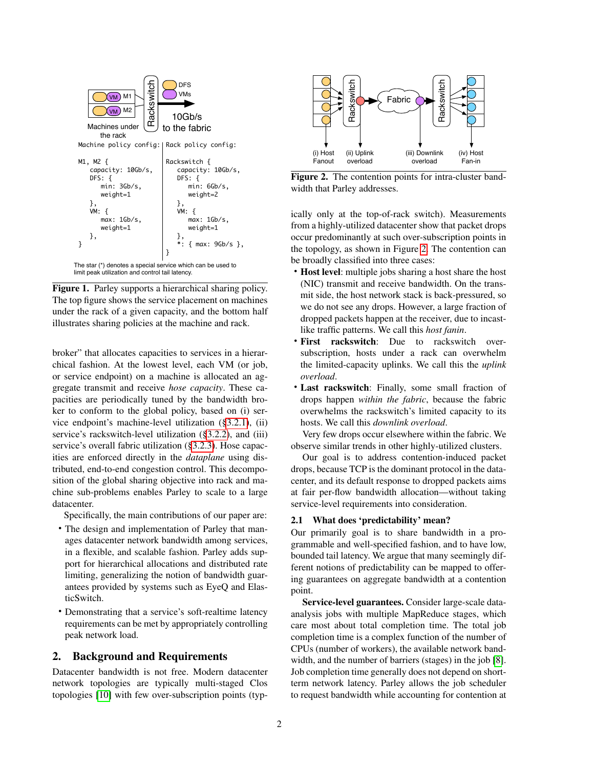

<span id="page-1-0"></span>Figure 1. Parley supports a hierarchical sharing policy. The top figure shows the service placement on machines under the rack of a given capacity, and the bottom half illustrates sharing policies at the machine and rack.

broker" that allocates capacities to services in a hierarchical fashion. At the lowest level, each VM (or job, or service endpoint) on a machine is allocated an aggregate transmit and receive *hose capacity*. These capacities are periodically tuned by the bandwidth broker to conform to the global policy, based on (i) service endpoint's machine-level utilization ([§3.2.1\)](#page-4-0), (ii) service's rackswitch-level utilization ([§3.2.2\)](#page-5-0), and (iii) service's overall fabric utilization ([§3.2.3\)](#page-5-1). Hose capacities are enforced directly in the *dataplane* using distributed, end-to-end congestion control. This decomposition of the global sharing objective into rack and machine sub-problems enables Parley to scale to a large datacenter.

Specifically, the main contributions of our paper are:

- The design and implementation of Parley that manages datacenter network bandwidth among services, in a flexible, and scalable fashion. Parley adds support for hierarchical allocations and distributed rate limiting, generalizing the notion of bandwidth guarantees provided by systems such as EyeQ and ElasticSwitch.
- Demonstrating that a service's soft-realtime latency requirements can be met by appropriately controlling peak network load.

# <span id="page-1-2"></span>2. Background and Requirements

Datacenter bandwidth is not free. Modern datacenter network topologies are typically multi-staged Clos



<span id="page-1-1"></span>Figure 2. The contention points for intra-cluster bandwidth that Parley addresses.

ically only at the top-of-rack switch). Measurements from a highly-utilized datacenter show that packet drops occur predominantly at such over-subscription points in the topology, as shown in Figure [2.](#page-1-1) The contention can be broadly classified into three cases:

- Host level: multiple jobs sharing a host share the host (NIC) transmit and receive bandwidth. On the transmit side, the host network stack is back-pressured, so we do not see any drops. However, a large fraction of dropped packets happen at the receiver, due to incastlike traffic patterns. We call this *host fanin*.
- First rackswitch: Due to rackswitch oversubscription, hosts under a rack can overwhelm the limited-capacity uplinks. We call this the *uplink overload*.
- Last rackswitch: Finally, some small fraction of drops happen *within the fabric*, because the fabric overwhelms the rackswitch's limited capacity to its hosts. We call this *downlink overload*.

Very few drops occur elsewhere within the fabric. We observe similar trends in other highly-utilized clusters.

Our goal is to address contention-induced packet drops, because TCP is the dominant protocol in the datacenter, and its default response to dropped packets aims at fair per-flow bandwidth allocation—without taking service-level requirements into consideration.

## 2.1 What does 'predictability' mean?

Our primarily goal is to share bandwidth in a programmable and well-specified fashion, and to have low, bounded tail latency. We argue that many seemingly different notions of predictability can be mapped to offering guarantees on aggregate bandwidth at a contention point.

Service-level guarantees. Consider large-scale dataanalysis jobs with multiple MapReduce stages, which care most about total completion time. The total job completion time is a complex function of the number of CPUs (number of workers), the available network bandwidth, and the number of barriers (stages) in the job [\[8\]](#page-13-7). Job completion time generally does not depend on shortterm network latency. Parley allows the job scheduler to request bandwidth while accounting for contention at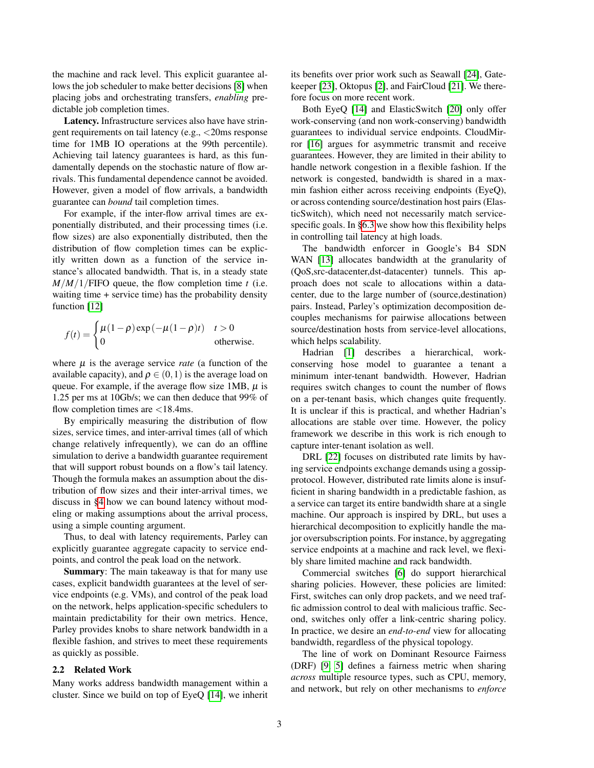the machine and rack level. This explicit guarantee al-lows the job scheduler to make better decisions [\[8\]](#page-13-7) when placing jobs and orchestrating transfers, *enabling* predictable job completion times.

Latency. Infrastructure services also have have stringent requirements on tail latency (e.g., <20ms response time for 1MB IO operations at the 99th percentile). Achieving tail latency guarantees is hard, as this fundamentally depends on the stochastic nature of flow arrivals. This fundamental dependence cannot be avoided. However, given a model of flow arrivals, a bandwidth guarantee can *bound* tail completion times.

For example, if the inter-flow arrival times are exponentially distributed, and their processing times (i.e. flow sizes) are also exponentially distributed, then the distribution of flow completion times can be explicitly written down as a function of the service instance's allocated bandwidth. That is, in a steady state  $M/M/1$ /FIFO queue, the flow completion time *t* (i.e. waiting time + service time) has the probability density function [\[12\]](#page-13-8)

$$
f(t) = \begin{cases} \mu(1-\rho)\exp(-\mu(1-\rho)t) & t > 0\\ 0 & \text{otherwise.} \end{cases}
$$

where  $\mu$  is the average service *rate* (a function of the available capacity), and  $\rho \in (0,1)$  is the average load on queue. For example, if the average flow size 1MB,  $\mu$  is 1.25 per ms at 10Gb/s; we can then deduce that 99% of flow completion times are <18.4ms.

By empirically measuring the distribution of flow sizes, service times, and inter-arrival times (all of which change relatively infrequently), we can do an offline simulation to derive a bandwidth guarantee requirement that will support robust bounds on a flow's tail latency. Though the formula makes an assumption about the distribution of flow sizes and their inter-arrival times, we discuss in [§4](#page-7-0) how we can bound latency without modeling or making assumptions about the arrival process, using a simple counting argument.

Thus, to deal with latency requirements, Parley can explicitly guarantee aggregate capacity to service endpoints, and control the peak load on the network.

Summary: The main takeaway is that for many use cases, explicit bandwidth guarantees at the level of service endpoints (e.g. VMs), and control of the peak load on the network, helps application-specific schedulers to maintain predictability for their own metrics. Hence, Parley provides knobs to share network bandwidth in a flexible fashion, and strives to meet these requirements as quickly as possible.

#### 2.2 Related Work

Many works address bandwidth management within a cluster. Since we build on top of EyeQ [\[14\]](#page-13-3), we inherit its benefits over prior work such as Seawall [\[24\]](#page-13-9), Gatekeeper [\[23\]](#page-13-2), Oktopus [\[2\]](#page-13-1), and FairCloud [\[21\]](#page-13-10). We therefore focus on more recent work.

Both EyeQ [\[14\]](#page-13-3) and ElasticSwitch [\[20\]](#page-13-4) only offer work-conserving (and non work-conserving) bandwidth guarantees to individual service endpoints. CloudMirror [\[16\]](#page-13-11) argues for asymmetric transmit and receive guarantees. However, they are limited in their ability to handle network congestion in a flexible fashion. If the network is congested, bandwidth is shared in a maxmin fashion either across receiving endpoints (EyeQ), or across contending source/destination host pairs (ElasticSwitch), which need not necessarily match service-specific goals. In [§6.3](#page-10-0) we show how this flexibility helps in controlling tail latency at high loads.

The bandwidth enforcer in Google's B4 SDN WAN [\[13\]](#page-13-12) allocates bandwidth at the granularity of (QoS,src-datacenter,dst-datacenter) tunnels. This approach does not scale to allocations within a datacenter, due to the large number of (source,destination) pairs. Instead, Parley's optimization decomposition decouples mechanisms for pairwise allocations between source/destination hosts from service-level allocations, which helps scalability.

Hadrian [\[1\]](#page-12-0) describes a hierarchical, workconserving hose model to guarantee a tenant a minimum inter-tenant bandwidth. However, Hadrian requires switch changes to count the number of flows on a per-tenant basis, which changes quite frequently. It is unclear if this is practical, and whether Hadrian's allocations are stable over time. However, the policy framework we describe in this work is rich enough to capture inter-tenant isolation as well.

DRL [\[22\]](#page-13-13) focuses on distributed rate limits by having service endpoints exchange demands using a gossipprotocol. However, distributed rate limits alone is insufficient in sharing bandwidth in a predictable fashion, as a service can target its entire bandwidth share at a single machine. Our approach is inspired by DRL, but uses a hierarchical decomposition to explicitly handle the major oversubscription points. For instance, by aggregating service endpoints at a machine and rack level, we flexibly share limited machine and rack bandwidth.

Commercial switches [\[6\]](#page-13-14) do support hierarchical sharing policies. However, these policies are limited: First, switches can only drop packets, and we need traffic admission control to deal with malicious traffic. Second, switches only offer a link-centric sharing policy. In practice, we desire an *end-to-end* view for allocating bandwidth, regardless of the physical topology.

The line of work on Dominant Resource Fairness (DRF) [\[9,](#page-13-15) [5\]](#page-13-16) defines a fairness metric when sharing *across* multiple resource types, such as CPU, memory, and network, but rely on other mechanisms to *enforce*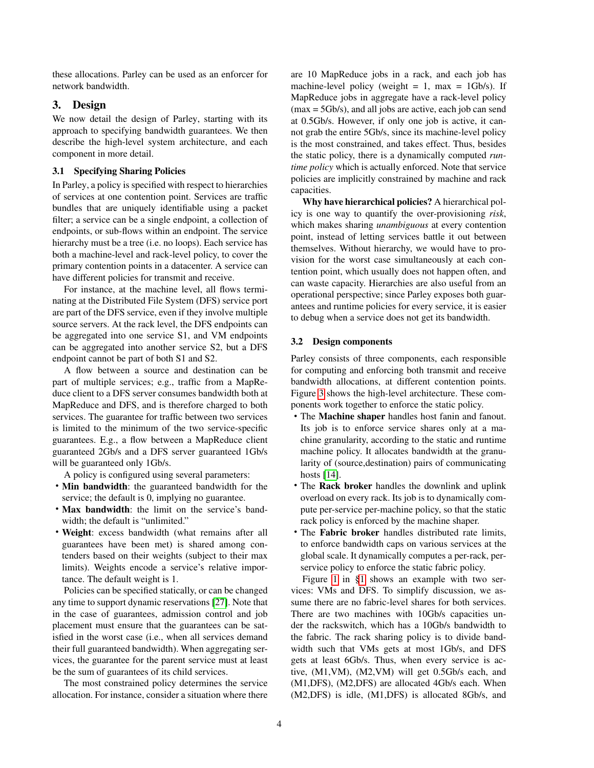these allocations. Parley can be used as an enforcer for network bandwidth.

# 3. Design

We now detail the design of Parley, starting with its approach to specifying bandwidth guarantees. We then describe the high-level system architecture, and each component in more detail.

## 3.1 Specifying Sharing Policies

In Parley, a policy is specified with respect to hierarchies of services at one contention point. Services are traffic bundles that are uniquely identifiable using a packet filter; a service can be a single endpoint, a collection of endpoints, or sub-flows within an endpoint. The service hierarchy must be a tree (i.e. no loops). Each service has both a machine-level and rack-level policy, to cover the primary contention points in a datacenter. A service can have different policies for transmit and receive.

For instance, at the machine level, all flows terminating at the Distributed File System (DFS) service port are part of the DFS service, even if they involve multiple source servers. At the rack level, the DFS endpoints can be aggregated into one service S1, and VM endpoints can be aggregated into another service S2, but a DFS endpoint cannot be part of both S1 and S2.

A flow between a source and destination can be part of multiple services; e.g., traffic from a MapReduce client to a DFS server consumes bandwidth both at MapReduce and DFS, and is therefore charged to both services. The guarantee for traffic between two services is limited to the minimum of the two service-specific guarantees. E.g., a flow between a MapReduce client guaranteed 2Gb/s and a DFS server guaranteed 1Gb/s will be guaranteed only 1Gb/s.

A policy is configured using several parameters:

- Min bandwidth: the guaranteed bandwidth for the service; the default is 0, implying no guarantee.
- Max bandwidth: the limit on the service's bandwidth; the default is "unlimited."
- Weight: excess bandwidth (what remains after all guarantees have been met) is shared among contenders based on their weights (subject to their max limits). Weights encode a service's relative importance. The default weight is 1.

Policies can be specified statically, or can be changed any time to support dynamic reservations [\[27\]](#page-13-17). Note that in the case of guarantees, admission control and job placement must ensure that the guarantees can be satisfied in the worst case (i.e., when all services demand their full guaranteed bandwidth). When aggregating services, the guarantee for the parent service must at least be the sum of guarantees of its child services.

The most constrained policy determines the service allocation. For instance, consider a situation where there

are 10 MapReduce jobs in a rack, and each job has machine-level policy (weight  $= 1$ , max  $= 1$ Gb/s). If MapReduce jobs in aggregate have a rack-level policy (max = 5Gb/s), and all jobs are active, each job can send at 0.5Gb/s. However, if only one job is active, it cannot grab the entire 5Gb/s, since its machine-level policy is the most constrained, and takes effect. Thus, besides the static policy, there is a dynamically computed *runtime policy* which is actually enforced. Note that service policies are implicitly constrained by machine and rack capacities.

Why have hierarchical policies? A hierarchical policy is one way to quantify the over-provisioning *risk*, which makes sharing *unambiguous* at every contention point, instead of letting services battle it out between themselves. Without hierarchy, we would have to provision for the worst case simultaneously at each contention point, which usually does not happen often, and can waste capacity. Hierarchies are also useful from an operational perspective; since Parley exposes both guarantees and runtime policies for every service, it is easier to debug when a service does not get its bandwidth.

## 3.2 Design components

Parley consists of three components, each responsible for computing and enforcing both transmit and receive bandwidth allocations, at different contention points. Figure [3](#page-4-1) shows the high-level architecture. These components work together to enforce the static policy.

- The Machine shaper handles host fanin and fanout. Its job is to enforce service shares only at a machine granularity, according to the static and runtime machine policy. It allocates bandwidth at the granularity of (source,destination) pairs of communicating hosts [\[14\]](#page-13-3).
- The Rack broker handles the downlink and uplink overload on every rack. Its job is to dynamically compute per-service per-machine policy, so that the static rack policy is enforced by the machine shaper.
- The Fabric broker handles distributed rate limits, to enforce bandwidth caps on various services at the global scale. It dynamically computes a per-rack, perservice policy to enforce the static fabric policy.

Figure [1](#page-1-0) in [§1](#page-0-0) shows an example with two services: VMs and DFS. To simplify discussion, we assume there are no fabric-level shares for both services. There are two machines with 10Gb/s capacities under the rackswitch, which has a 10Gb/s bandwidth to the fabric. The rack sharing policy is to divide bandwidth such that VMs gets at most 1Gb/s, and DFS gets at least 6Gb/s. Thus, when every service is active, (M1,VM), (M2,VM) will get 0.5Gb/s each, and (M1,DFS), (M2,DFS) are allocated 4Gb/s each. When (M2,DFS) is idle, (M1,DFS) is allocated 8Gb/s, and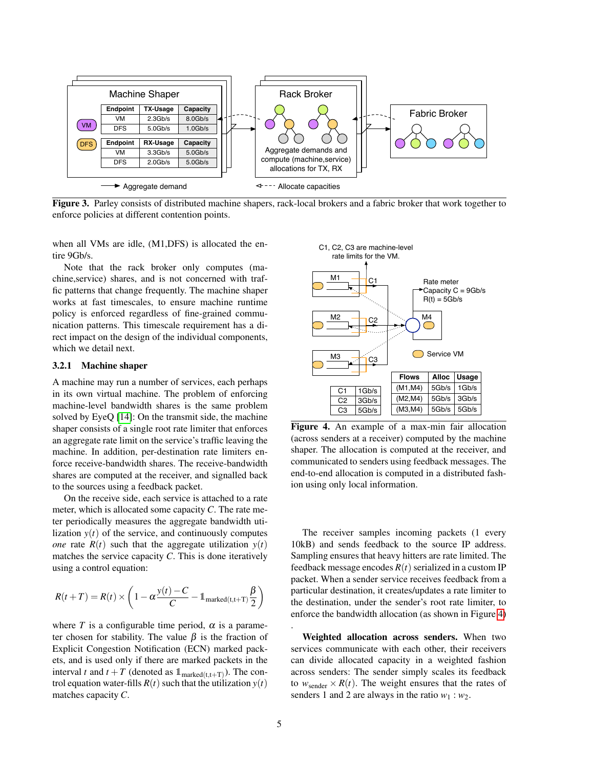

<span id="page-4-1"></span>Figure 3. Parley consists of distributed machine shapers, rack-local brokers and a fabric broker that work together to enforce policies at different contention points.

when all VMs are idle, (M1,DFS) is allocated the entire 9Gb/s.

Note that the rack broker only computes (machine,service) shares, and is not concerned with traffic patterns that change frequently. The machine shaper works at fast timescales, to ensure machine runtime policy is enforced regardless of fine-grained communication patterns. This timescale requirement has a direct impact on the design of the individual components, which we detail next.

## <span id="page-4-0"></span>3.2.1 Machine shaper

A machine may run a number of services, each perhaps in its own virtual machine. The problem of enforcing machine-level bandwidth shares is the same problem solved by EyeQ [\[14\]](#page-13-3): On the transmit side, the machine shaper consists of a single root rate limiter that enforces an aggregate rate limit on the service's traffic leaving the machine. In addition, per-destination rate limiters enforce receive-bandwidth shares. The receive-bandwidth shares are computed at the receiver, and signalled back to the sources using a feedback packet.

On the receive side, each service is attached to a rate meter, which is allocated some capacity *C*. The rate meter periodically measures the aggregate bandwidth utilization  $y(t)$  of the service, and continuously computes *one* rate  $R(t)$  such that the aggregate utilization  $y(t)$ matches the service capacity *C*. This is done iteratively using a control equation:

$$
R(t+T) = R(t) \times \left(1 - \alpha \frac{y(t) - C}{C} - 1_{\text{marked}(t, t+T)} \frac{\beta}{2}\right)
$$

where *T* is a configurable time period,  $\alpha$  is a parameter chosen for stability. The value  $\beta$  is the fraction of Explicit Congestion Notification (ECN) marked packets, and is used only if there are marked packets in the interval *t* and  $t + T$  (denoted as  $\mathbb{1}_{\text{marked}(t,t+T)}$ ). The control equation water-fills  $R(t)$  such that the utilization  $y(t)$ matches capacity *C*.



<span id="page-4-2"></span>Figure 4. An example of a max-min fair allocation (across senders at a receiver) computed by the machine shaper. The allocation is computed at the receiver, and communicated to senders using feedback messages. The end-to-end allocation is computed in a distributed fashion using only local information.

The receiver samples incoming packets (1 every 10kB) and sends feedback to the source IP address. Sampling ensures that heavy hitters are rate limited. The feedback message encodes  $R(t)$  serialized in a custom IP packet. When a sender service receives feedback from a particular destination, it creates/updates a rate limiter to the destination, under the sender's root rate limiter, to enforce the bandwidth allocation (as shown in Figure [4\)](#page-4-2)

Weighted allocation across senders. When two services communicate with each other, their receivers can divide allocated capacity in a weighted fashion across senders: The sender simply scales its feedback to  $w_{\text{sender}} \times R(t)$ . The weight ensures that the rates of senders 1 and 2 are always in the ratio  $w_1 : w_2$ .

.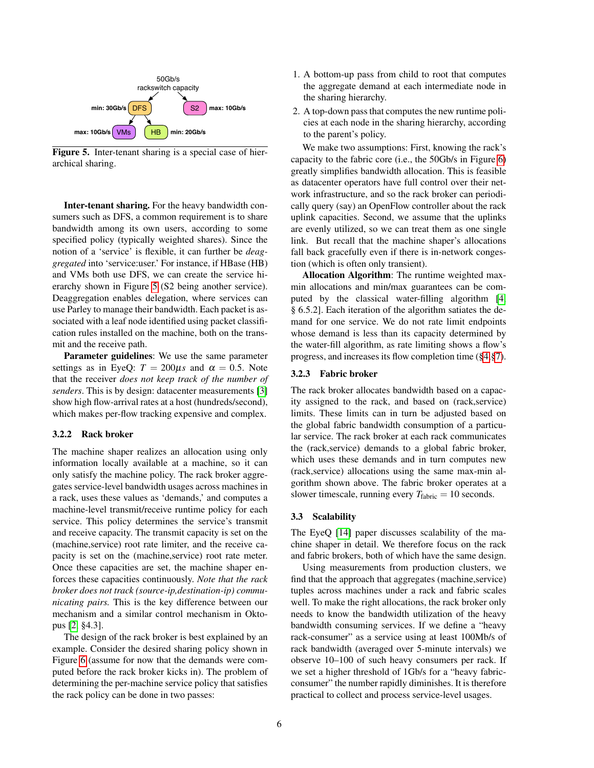

<span id="page-5-2"></span>Figure 5. Inter-tenant sharing is a special case of hierarchical sharing.

Inter-tenant sharing. For the heavy bandwidth consumers such as DFS, a common requirement is to share bandwidth among its own users, according to some specified policy (typically weighted shares). Since the notion of a 'service' is flexible, it can further be *deaggregated* into 'service:user.' For instance, if HBase (HB) and VMs both use DFS, we can create the service hierarchy shown in Figure [5](#page-5-2) (S2 being another service). Deaggregation enables delegation, where services can use Parley to manage their bandwidth. Each packet is associated with a leaf node identified using packet classification rules installed on the machine, both on the transmit and the receive path.

Parameter guidelines: We use the same parameter settings as in EyeQ:  $T = 200 \mu s$  and  $\alpha = 0.5$ . Note that the receiver *does not keep track of the number of senders*. This is by design: datacenter measurements [\[3\]](#page-13-18) show high flow-arrival rates at a host (hundreds/second), which makes per-flow tracking expensive and complex.

# <span id="page-5-0"></span>3.2.2 Rack broker

The machine shaper realizes an allocation using only information locally available at a machine, so it can only satisfy the machine policy. The rack broker aggregates service-level bandwidth usages across machines in a rack, uses these values as 'demands,' and computes a machine-level transmit/receive runtime policy for each service. This policy determines the service's transmit and receive capacity. The transmit capacity is set on the (machine,service) root rate limiter, and the receive capacity is set on the (machine,service) root rate meter. Once these capacities are set, the machine shaper enforces these capacities continuously. *Note that the rack broker does not track (source-ip,destination-ip) communicating pairs.* This is the key difference between our mechanism and a similar control mechanism in Oktopus [\[2,](#page-13-1) §4.3].

The design of the rack broker is best explained by an example. Consider the desired sharing policy shown in Figure [6](#page-6-0) (assume for now that the demands were computed before the rack broker kicks in). The problem of determining the per-machine service policy that satisfies the rack policy can be done in two passes:

- 1. A bottom-up pass from child to root that computes the aggregate demand at each intermediate node in the sharing hierarchy.
- 2. A top-down pass that computes the new runtime policies at each node in the sharing hierarchy, according to the parent's policy.

We make two assumptions: First, knowing the rack's capacity to the fabric core (i.e., the 50Gb/s in Figure [6\)](#page-6-0) greatly simplifies bandwidth allocation. This is feasible as datacenter operators have full control over their network infrastructure, and so the rack broker can periodically query (say) an OpenFlow controller about the rack uplink capacities. Second, we assume that the uplinks are evenly utilized, so we can treat them as one single link. But recall that the machine shaper's allocations fall back gracefully even if there is in-network congestion (which is often only transient).

Allocation Algorithm: The runtime weighted maxmin allocations and min/max guarantees can be computed by the classical water-filling algorithm [\[4,](#page-13-5) § 6.5.2]. Each iteration of the algorithm satiates the demand for one service. We do not rate limit endpoints whose demand is less than its capacity determined by the water-fill algorithm, as rate limiting shows a flow's progress, and increases its flow completion time ([§4,](#page-7-0)[§7\)](#page-12-1).

## <span id="page-5-1"></span>3.2.3 Fabric broker

The rack broker allocates bandwidth based on a capacity assigned to the rack, and based on (rack,service) limits. These limits can in turn be adjusted based on the global fabric bandwidth consumption of a particular service. The rack broker at each rack communicates the (rack,service) demands to a global fabric broker, which uses these demands and in turn computes new (rack,service) allocations using the same max-min algorithm shown above. The fabric broker operates at a slower timescale, running every  $T_{\text{fabric}} = 10$  seconds.

#### 3.3 Scalability

The EyeQ [\[14\]](#page-13-3) paper discusses scalability of the machine shaper in detail. We therefore focus on the rack and fabric brokers, both of which have the same design.

Using measurements from production clusters, we find that the approach that aggregates (machine,service) tuples across machines under a rack and fabric scales well. To make the right allocations, the rack broker only needs to know the bandwidth utilization of the heavy bandwidth consuming services. If we define a "heavy rack-consumer" as a service using at least 100Mb/s of rack bandwidth (averaged over 5-minute intervals) we observe 10–100 of such heavy consumers per rack. If we set a higher threshold of 1Gb/s for a "heavy fabricconsumer" the number rapidly diminishes. It is therefore practical to collect and process service-level usages.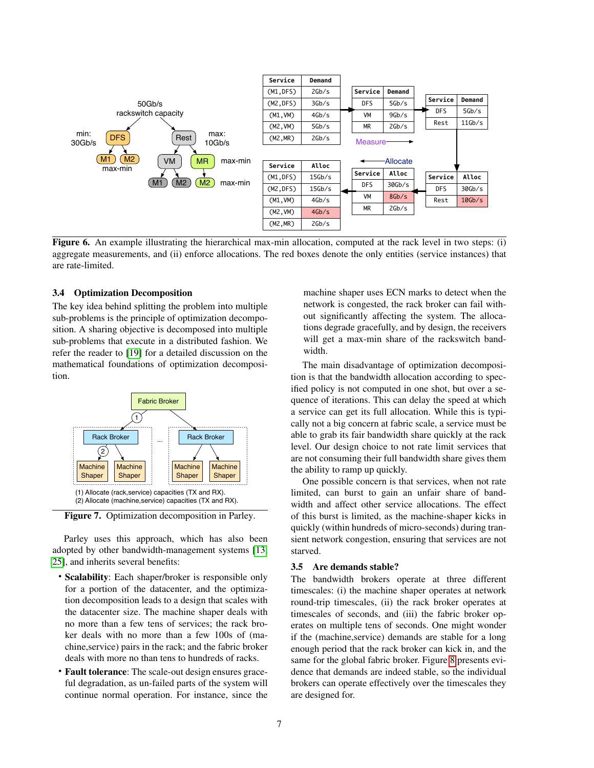

<span id="page-6-0"></span>Figure 6. An example illustrating the hierarchical max-min allocation, computed at the rack level in two steps: (i) aggregate measurements, and (ii) enforce allocations. The red boxes denote the only entities (service instances) that are rate-limited.

## 3.4 Optimization Decomposition

The key idea behind splitting the problem into multiple sub-problems is the principle of optimization decomposition. A sharing objective is decomposed into multiple sub-problems that execute in a distributed fashion. We refer the reader to [\[19\]](#page-13-19) for a detailed discussion on the mathematical foundations of optimization decomposition.



Figure 7. Optimization decomposition in Parley.

Parley uses this approach, which has also been adopted by other bandwidth-management systems [\[13,](#page-13-12) [25\]](#page-13-20), and inherits several benefits:

- Scalability: Each shaper/broker is responsible only for a portion of the datacenter, and the optimization decomposition leads to a design that scales with the datacenter size. The machine shaper deals with no more than a few tens of services; the rack broker deals with no more than a few 100s of (machine,service) pairs in the rack; and the fabric broker deals with more no than tens to hundreds of racks.
- Fault tolerance: The scale-out design ensures graceful degradation, as un-failed parts of the system will continue normal operation. For instance, since the

machine shaper uses ECN marks to detect when the network is congested, the rack broker can fail without significantly affecting the system. The allocations degrade gracefully, and by design, the receivers will get a max-min share of the rackswitch bandwidth.

The main disadvantage of optimization decomposition is that the bandwidth allocation according to specified policy is not computed in one shot, but over a sequence of iterations. This can delay the speed at which a service can get its full allocation. While this is typically not a big concern at fabric scale, a service must be able to grab its fair bandwidth share quickly at the rack level. Our design choice to not rate limit services that are not consuming their full bandwidth share gives them the ability to ramp up quickly.

One possible concern is that services, when not rate limited, can burst to gain an unfair share of bandwidth and affect other service allocations. The effect of this burst is limited, as the machine-shaper kicks in quickly (within hundreds of micro-seconds) during transient network congestion, ensuring that services are not starved.

#### 3.5 Are demands stable?

The bandwidth brokers operate at three different timescales: (i) the machine shaper operates at network round-trip timescales, (ii) the rack broker operates at timescales of seconds, and (iii) the fabric broker operates on multiple tens of seconds. One might wonder if the (machine,service) demands are stable for a long enough period that the rack broker can kick in, and the same for the global fabric broker. Figure [8](#page-7-1) presents evidence that demands are indeed stable, so the individual brokers can operate effectively over the timescales they are designed for.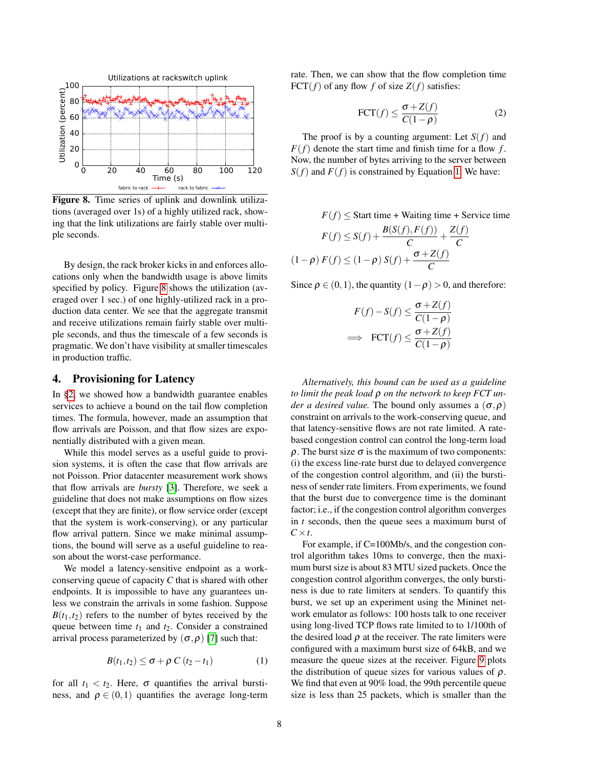

<span id="page-7-1"></span>Figure 8. Time series of uplink and downlink utilizations (averaged over 1s) of a highly utilized rack, showing that the link utilizations are fairly stable over multiple seconds.

By design, the rack broker kicks in and enforces allocations only when the bandwidth usage is above limits specified by policy. Figure [8](#page-7-1) shows the utilization (averaged over 1 sec.) of one highly-utilized rack in a production data center. We see that the aggregate transmit and receive utilizations remain fairly stable over multiple seconds, and thus the timescale of a few seconds is pragmatic. We don't have visibility at smaller timescales in production traffic.

## <span id="page-7-0"></span>4. Provisioning for Latency

In [§2,](#page-1-2) we showed how a bandwidth guarantee enables services to achieve a bound on the tail flow completion times. The formula, however, made an assumption that flow arrivals are Poisson, and that flow sizes are exponentially distributed with a given mean.

While this model serves as a useful guide to provision systems, it is often the case that flow arrivals are not Poisson. Prior datacenter measurement work shows that flow arrivals are *bursty* [\[3\]](#page-13-18). Therefore, we seek a guideline that does not make assumptions on flow sizes (except that they are finite), or flow service order (except that the system is work-conserving), or any particular flow arrival pattern. Since we make minimal assumptions, the bound will serve as a useful guideline to reason about the worst-case performance.

We model a latency-sensitive endpoint as a workconserving queue of capacity *C* that is shared with other endpoints. It is impossible to have any guarantees unless we constrain the arrivals in some fashion. Suppose  $B(t_1,t_2)$  refers to the number of bytes received by the queue between time  $t_1$  and  $t_2$ . Consider a constrained arrival process parameterized by  $(\sigma, \rho)$  [\[7\]](#page-13-21) such that:

$$
B(t_1, t_2) \leq \sigma + \rho C(t_2 - t_1)
$$
 (1)

for all  $t_1 < t_2$ . Here,  $\sigma$  quantifies the arrival burstiness, and  $\rho \in (0,1)$  quantifies the average long-term <span id="page-7-3"></span>rate. Then, we can show that the flow completion time FCT( $f$ ) of any flow  $f$  of size  $Z(f)$  satisfies:

$$
\text{FCT}(f) \le \frac{\sigma + Z(f)}{C(1 - \rho)}
$$
 (2)

The proof is by a counting argument: Let  $S(f)$  and  $F(f)$  denote the start time and finish time for a flow *f*. Now, the number of bytes arriving to the server between  $S(f)$  and  $F(f)$  is constrained by Equation [1.](#page-7-2) We have:

 $F(f)$  < Start time + Waiting time + Service time

$$
F(f) \le S(f) + \frac{B(S(f), F(f))}{C} + \frac{Z(f)}{C}
$$

$$
(1 - \rho) F(f) \le (1 - \rho) S(f) + \frac{\sigma + Z(f)}{C}
$$

Since  $\rho \in (0,1)$ , the quantity  $(1-\rho) > 0$ , and therefore:

$$
F(f) - S(f) \le \frac{\sigma + Z(f)}{C(1 - \rho)}
$$
  
\n
$$
\implies \text{FCT}(f) \le \frac{\sigma + Z(f)}{C(1 - \rho)}
$$

*Alternatively, this bound can be used as a guideline to limit the peak load* ρ *on the network to keep FCT under a desired value.* The bound only assumes a  $(\sigma, \rho)$ constraint on arrivals to the work-conserving queue, and that latency-sensitive flows are not rate limited. A ratebased congestion control can control the long-term load ρ. The burst size σ is the maximum of two components: (i) the excess line-rate burst due to delayed convergence of the congestion control algorithm, and (ii) the burstiness of sender rate limiters. From experiments, we found that the burst due to convergence time is the dominant factor; i.e., if the congestion control algorithm converges in *t* seconds, then the queue sees a maximum burst of  $C \times t$ .

<span id="page-7-2"></span>For example, if C=100Mb/s, and the congestion control algorithm takes 10ms to converge, then the maximum burst size is about 83 MTU sized packets. Once the congestion control algorithm converges, the only burstiness is due to rate limiters at senders. To quantify this burst, we set up an experiment using the Mininet network emulator as follows: 100 hosts talk to one receiver using long-lived TCP flows rate limited to to 1/100th of the desired load  $\rho$  at the receiver. The rate limiters were configured with a maximum burst size of 64kB, and we measure the queue sizes at the receiver. Figure [9](#page-8-0) plots the distribution of queue sizes for various values of  $\rho$ . We find that even at 90% load, the 99th percentile queue size is less than 25 packets, which is smaller than the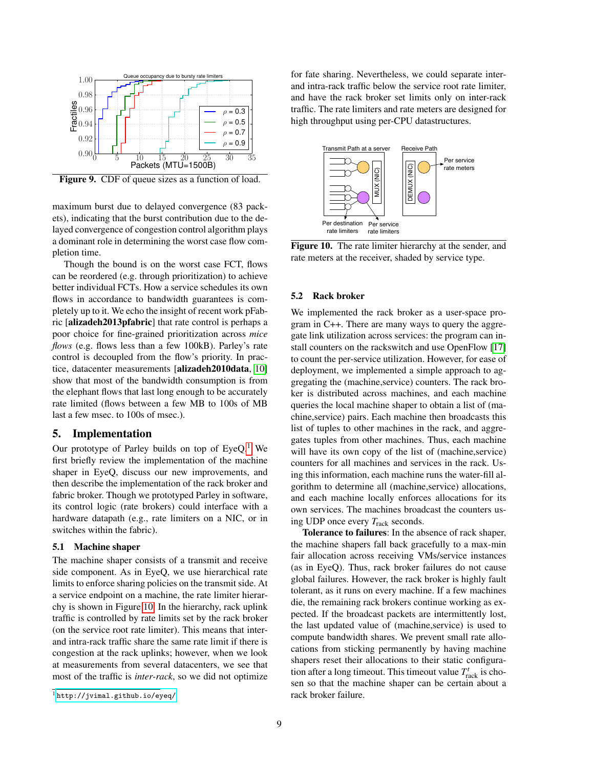

<span id="page-8-0"></span>Figure 9. CDF of queue sizes as a function of load.

maximum burst due to delayed convergence (83 packets), indicating that the burst contribution due to the delayed convergence of congestion control algorithm plays a dominant role in determining the worst case flow completion time.

Though the bound is on the worst case FCT, flows can be reordered (e.g. through prioritization) to achieve better individual FCTs. How a service schedules its own flows in accordance to bandwidth guarantees is completely up to it. We echo the insight of recent work pFabric [alizadeh2013pfabric] that rate control is perhaps a poor choice for fine-grained prioritization across *mice flows* (e.g. flows less than a few 100kB). Parley's rate control is decoupled from the flow's priority. In practice, datacenter measurements [alizadeh2010data, [10\]](#page-13-6) show that most of the bandwidth consumption is from the elephant flows that last long enough to be accurately rate limited (flows between a few MB to 100s of MB last a few msec. to 100s of msec.).

# 5. Implementation

Our prototype of Parley builds on top of  $EyeQ<sup>1</sup>$  $EyeQ<sup>1</sup>$  $EyeQ<sup>1</sup>$  We first briefly review the implementation of the machine shaper in EyeQ, discuss our new improvements, and then describe the implementation of the rack broker and fabric broker. Though we prototyped Parley in software, its control logic (rate brokers) could interface with a hardware datapath (e.g., rate limiters on a NIC, or in switches within the fabric).

#### 5.1 Machine shaper

The machine shaper consists of a transmit and receive side component. As in EyeQ, we use hierarchical rate limits to enforce sharing policies on the transmit side. At a service endpoint on a machine, the rate limiter hierarchy is shown in Figure [10.](#page-8-2) In the hierarchy, rack uplink traffic is controlled by rate limits set by the rack broker (on the service root rate limiter). This means that interand intra-rack traffic share the same rate limit if there is congestion at the rack uplinks; however, when we look at measurements from several datacenters, we see that most of the traffic is *inter-rack*, so we did not optimize for fate sharing. Nevertheless, we could separate interand intra-rack traffic below the service root rate limiter, and have the rack broker set limits only on inter-rack traffic. The rate limiters and rate meters are designed for high throughput using per-CPU datastructures.



<span id="page-8-2"></span>Figure 10. The rate limiter hierarchy at the sender, and rate meters at the receiver, shaded by service type.

# 5.2 Rack broker

We implemented the rack broker as a user-space program in C++. There are many ways to query the aggregate link utilization across services: the program can install counters on the rackswitch and use OpenFlow [\[17\]](#page-13-22) to count the per-service utilization. However, for ease of deployment, we implemented a simple approach to aggregating the (machine,service) counters. The rack broker is distributed across machines, and each machine queries the local machine shaper to obtain a list of (machine,service) pairs. Each machine then broadcasts this list of tuples to other machines in the rack, and aggregates tuples from other machines. Thus, each machine will have its own copy of the list of (machine, service) counters for all machines and services in the rack. Using this information, each machine runs the water-fill algorithm to determine all (machine,service) allocations, and each machine locally enforces allocations for its own services. The machines broadcast the counters using UDP once every *T*rack seconds.

Tolerance to failures: In the absence of rack shaper, the machine shapers fall back gracefully to a max-min fair allocation across receiving VMs/service instances (as in EyeQ). Thus, rack broker failures do not cause global failures. However, the rack broker is highly fault tolerant, as it runs on every machine. If a few machines die, the remaining rack brokers continue working as expected. If the broadcast packets are intermittently lost, the last updated value of (machine,service) is used to compute bandwidth shares. We prevent small rate allocations from sticking permanently by having machine shapers reset their allocations to their static configuration after a long timeout. This timeout value  $T_{\text{track}}^t$  is chosen so that the machine shaper can be certain about a rack broker failure.

<span id="page-8-1"></span><sup>1</sup> <http://jvimal.github.io/eyeq/>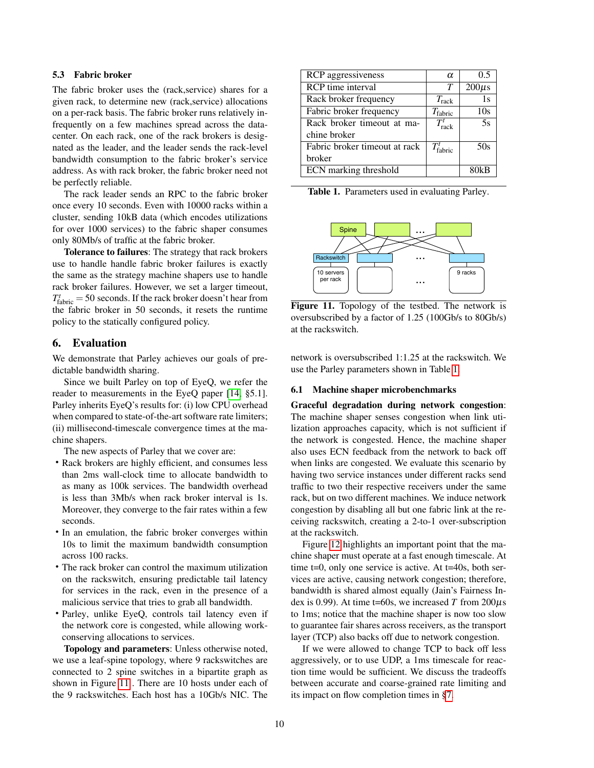# 5.3 Fabric broker

The fabric broker uses the (rack,service) shares for a given rack, to determine new (rack,service) allocations on a per-rack basis. The fabric broker runs relatively infrequently on a few machines spread across the datacenter. On each rack, one of the rack brokers is designated as the leader, and the leader sends the rack-level bandwidth consumption to the fabric broker's service address. As with rack broker, the fabric broker need not be perfectly reliable.

The rack leader sends an RPC to the fabric broker once every 10 seconds. Even with 10000 racks within a cluster, sending 10kB data (which encodes utilizations for over 1000 services) to the fabric shaper consumes only 80Mb/s of traffic at the fabric broker.

Tolerance to failures: The strategy that rack brokers use to handle handle fabric broker failures is exactly the same as the strategy machine shapers use to handle rack broker failures. However, we set a larger timeout,  $T_{\text{fabric}}^t = 50$  seconds. If the rack broker doesn't hear from the fabric broker in 50 seconds, it resets the runtime policy to the statically configured policy.

# 6. Evaluation

We demonstrate that Parley achieves our goals of predictable bandwidth sharing.

Since we built Parley on top of EyeQ, we refer the reader to measurements in the EyeQ paper [\[14,](#page-13-3) §5.1]. Parley inherits EyeQ's results for: (i) low CPU overhead when compared to state-of-the-art software rate limiters; (ii) millisecond-timescale convergence times at the machine shapers.

The new aspects of Parley that we cover are:

- Rack brokers are highly efficient, and consumes less than 2ms wall-clock time to allocate bandwidth to as many as 100k services. The bandwidth overhead is less than 3Mb/s when rack broker interval is 1s. Moreover, they converge to the fair rates within a few seconds.
- In an emulation, the fabric broker converges within 10s to limit the maximum bandwidth consumption across 100 racks.
- The rack broker can control the maximum utilization on the rackswitch, ensuring predictable tail latency for services in the rack, even in the presence of a malicious service that tries to grab all bandwidth.
- Parley, unlike EyeQ, controls tail latency even if the network core is congested, while allowing workconserving allocations to services.

Topology and parameters: Unless otherwise noted, we use a leaf-spine topology, where 9 rackswitches are connected to 2 spine switches in a bipartite graph as shown in Figure [11](#page-9-0) . There are 10 hosts under each of the 9 rackswitches. Each host has a 10Gb/s NIC. The

| <b>RCP</b> aggressiveness     | $\alpha$              | 0.5        |
|-------------------------------|-----------------------|------------|
| <b>RCP</b> time interval      | T                     | $200\mu s$ |
| Rack broker frequency         | $T_{\rm{rock}}$       | 1s         |
| Fabric broker frequency       | $T_{\text{fabric}}$   | 10s        |
| Rack broker timeout at ma-    | $T_{\rm rock}^t$      | 5s         |
| chine broker                  |                       |            |
| Fabric broker timeout at rack | $T_{\text{fabric}}^t$ | 50s        |
| broker                        |                       |            |
| ECN marking threshold         |                       | 80kB       |

<span id="page-9-1"></span>Table 1. Parameters used in evaluating Parley.



<span id="page-9-0"></span>Figure 11. Topology of the testbed. The network is oversubscribed by a factor of 1.25 (100Gb/s to 80Gb/s) at the rackswitch.

network is oversubscribed 1:1.25 at the rackswitch. We use the Parley parameters shown in Table [1.](#page-9-1)

#### 6.1 Machine shaper microbenchmarks

Graceful degradation during network congestion: The machine shaper senses congestion when link utilization approaches capacity, which is not sufficient if the network is congested. Hence, the machine shaper also uses ECN feedback from the network to back off when links are congested. We evaluate this scenario by having two service instances under different racks send traffic to two their respective receivers under the same rack, but on two different machines. We induce network congestion by disabling all but one fabric link at the receiving rackswitch, creating a 2-to-1 over-subscription at the rackswitch.

Figure [12](#page-10-1) highlights an important point that the machine shaper must operate at a fast enough timescale. At time  $t=0$ , only one service is active. At  $t=40s$ , both services are active, causing network congestion; therefore, bandwidth is shared almost equally (Jain's Fairness Index is 0.99). At time t=60s, we increased *T* from  $200\mu s$ to 1ms; notice that the machine shaper is now too slow to guarantee fair shares across receivers, as the transport layer (TCP) also backs off due to network congestion.

If we were allowed to change TCP to back off less aggressively, or to use UDP, a 1ms timescale for reaction time would be sufficient. We discuss the tradeoffs between accurate and coarse-grained rate limiting and its impact on flow completion times in [§7.](#page-12-1)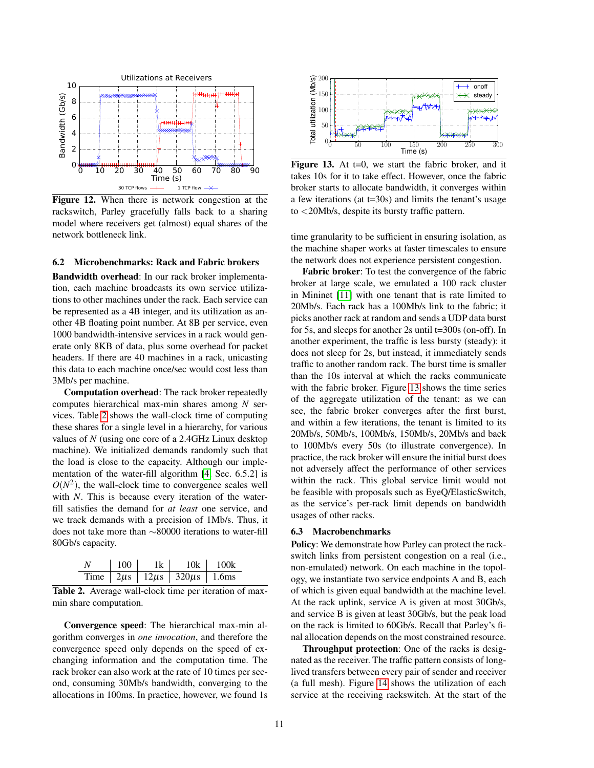

<span id="page-10-1"></span>Figure 12. When there is network congestion at the rackswitch, Parley gracefully falls back to a sharing model where receivers get (almost) equal shares of the network bottleneck link.

## 6.2 Microbenchmarks: Rack and Fabric brokers

Bandwidth overhead: In our rack broker implementation, each machine broadcasts its own service utilizations to other machines under the rack. Each service can be represented as a 4B integer, and its utilization as another 4B floating point number. At 8B per service, even 1000 bandwidth-intensive services in a rack would generate only 8KB of data, plus some overhead for packet headers. If there are 40 machines in a rack, unicasting this data to each machine once/sec would cost less than 3Mb/s per machine.

Computation overhead: The rack broker repeatedly computes hierarchical max-min shares among *N* services. Table [2](#page-10-2) shows the wall-clock time of computing these shares for a single level in a hierarchy, for various values of *N* (using one core of a 2.4GHz Linux desktop machine). We initialized demands randomly such that the load is close to the capacity. Although our implementation of the water-fill algorithm [\[4,](#page-13-5) Sec. 6.5.2] is  $O(N^2)$ , the wall-clock time to convergence scales well with *N*. This is because every iteration of the waterfill satisfies the demand for *at least* one service, and we track demands with a precision of 1Mb/s. Thus, it does not take more than ∼80000 iterations to water-fill 80Gb/s capacity.

<span id="page-10-2"></span>

| N | 100 | 1k | 10k                                                                     | 100k |
|---|-----|----|-------------------------------------------------------------------------|------|
|   |     |    | Time $\vert 2 \mu s \vert 12 \mu s \vert 320 \mu s \vert 1.6 \text{ms}$ |      |

Table 2. Average wall-clock time per iteration of maxmin share computation.

Convergence speed: The hierarchical max-min algorithm converges in *one invocation*, and therefore the convergence speed only depends on the speed of exchanging information and the computation time. The rack broker can also work at the rate of 10 times per second, consuming 30Mb/s bandwidth, converging to the allocations in 100ms. In practice, however, we found 1s



<span id="page-10-3"></span>Figure 13. At  $t=0$ , we start the fabric broker, and it takes 10s for it to take effect. However, once the fabric broker starts to allocate bandwidth, it converges within a few iterations (at t=30s) and limits the tenant's usage to <20Mb/s, despite its bursty traffic pattern.

time granularity to be sufficient in ensuring isolation, as the machine shaper works at faster timescales to ensure the network does not experience persistent congestion.

Fabric broker: To test the convergence of the fabric broker at large scale, we emulated a 100 rack cluster in Mininet [\[11\]](#page-13-23) with one tenant that is rate limited to 20Mb/s. Each rack has a 100Mb/s link to the fabric; it picks another rack at random and sends a UDP data burst for 5s, and sleeps for another 2s until t=300s (on-off). In another experiment, the traffic is less bursty (steady): it does not sleep for 2s, but instead, it immediately sends traffic to another random rack. The burst time is smaller than the 10s interval at which the racks communicate with the fabric broker. Figure [13](#page-10-3) shows the time series of the aggregate utilization of the tenant: as we can see, the fabric broker converges after the first burst, and within a few iterations, the tenant is limited to its 20Mb/s, 50Mb/s, 100Mb/s, 150Mb/s, 20Mb/s and back to 100Mb/s every 50s (to illustrate convergence). In practice, the rack broker will ensure the initial burst does not adversely affect the performance of other services within the rack. This global service limit would not be feasible with proposals such as EyeQ/ElasticSwitch, as the service's per-rack limit depends on bandwidth usages of other racks.

#### <span id="page-10-0"></span>6.3 Macrobenchmarks

Policy: We demonstrate how Parley can protect the rackswitch links from persistent congestion on a real (i.e., non-emulated) network. On each machine in the topology, we instantiate two service endpoints A and B, each of which is given equal bandwidth at the machine level. At the rack uplink, service A is given at most 30Gb/s, and service B is given at least 30Gb/s, but the peak load on the rack is limited to 60Gb/s. Recall that Parley's final allocation depends on the most constrained resource.

Throughput protection: One of the racks is designated as the receiver. The traffic pattern consists of longlived transfers between every pair of sender and receiver (a full mesh). Figure [14](#page-11-0) shows the utilization of each service at the receiving rackswitch. At the start of the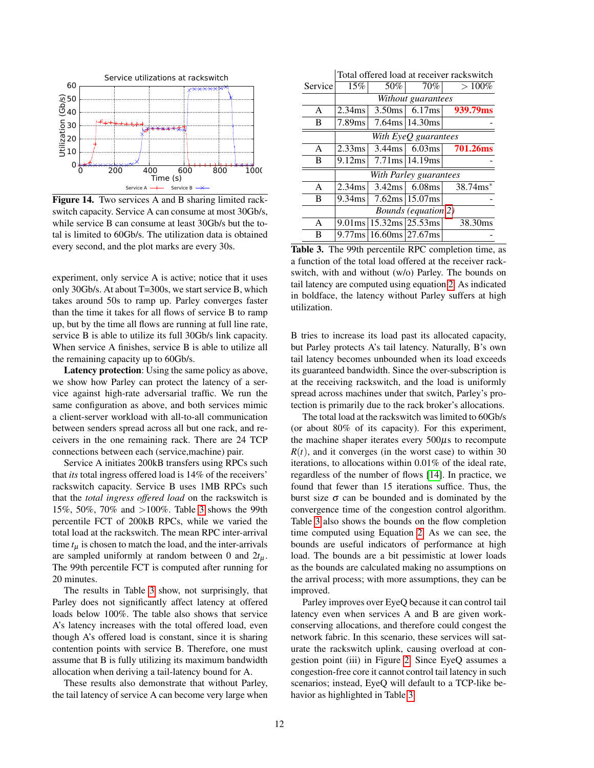

<span id="page-11-0"></span>Figure 14. Two services A and B sharing limited rackswitch capacity. Service A can consume at most 30Gb/s, while service B can consume at least 30Gb/s but the total is limited to 60Gb/s. The utilization data is obtained every second, and the plot marks are every 30s.

experiment, only service A is active; notice that it uses only 30Gb/s. At about T=300s, we start service B, which takes around 50s to ramp up. Parley converges faster than the time it takes for all flows of service B to ramp up, but by the time all flows are running at full line rate, service B is able to utilize its full 30Gb/s link capacity. When service A finishes, service B is able to utilize all the remaining capacity up to 60Gb/s.

Latency protection: Using the same policy as above, we show how Parley can protect the latency of a service against high-rate adversarial traffic. We run the same configuration as above, and both services mimic a client-server workload with all-to-all communication between senders spread across all but one rack, and receivers in the one remaining rack. There are 24 TCP connections between each (service,machine) pair.

Service A initiates 200kB transfers using RPCs such that *its* total ingress offered load is 14% of the receivers' rackswitch capacity. Service B uses 1MB RPCs such that the *total ingress offered load* on the rackswitch is 15%, 50%, 70% and >100%. Table [3](#page-11-1) shows the 99th percentile FCT of 200kB RPCs, while we varied the total load at the rackswitch. The mean RPC inter-arrival time  $t<sub>u</sub>$  is chosen to match the load, and the inter-arrivals are sampled uniformly at random between 0 and  $2t_{\mu}$ . The 99th percentile FCT is computed after running for 20 minutes.

The results in Table [3](#page-11-1) show, not surprisingly, that Parley does not significantly affect latency at offered loads below 100%. The table also shows that service A's latency increases with the total offered load, even though A's offered load is constant, since it is sharing contention points with service B. Therefore, one must assume that B is fully utilizing its maximum bandwidth allocation when deriving a tail-latency bound for A.

These results also demonstrate that without Parley, the tail latency of service A can become very large when

|              | Total offered load at receiver rackswitch |                                        |                                       |                           |  |  |
|--------------|-------------------------------------------|----------------------------------------|---------------------------------------|---------------------------|--|--|
| Service      | 15%                                       | 50%                                    | 70%                                   | $>100\%$                  |  |  |
|              | Without guarantees                        |                                        |                                       |                           |  |  |
| A            | 2.34ms                                    | $3.50$ ms                              | 6.17ms                                | 939.79ms                  |  |  |
| B            | 7.89ms                                    |                                        | $7.64 \text{ms}$   14.30 ms           |                           |  |  |
|              | With EyeQ guarantees                      |                                        |                                       |                           |  |  |
| $\mathsf{A}$ | 2.33ms                                    |                                        |                                       | $3.44$ ms 6.03ms 701.26ms |  |  |
| B            | 9.12ms                                    |                                        | $7.71 \text{ms} \mid 14.19 \text{ms}$ |                           |  |  |
|              | With Parley guarantees                    |                                        |                                       |                           |  |  |
| A            | 2.34ms                                    | 3.42ms                                 | $6.08$ ms                             | $38.74$ ms <sup>*</sup>   |  |  |
| B            | 9.34ms                                    |                                        | $7.62 \text{ms} \mid 15.07 \text{ms}$ |                           |  |  |
|              | <b>Bounds</b> (equation 2)                |                                        |                                       |                           |  |  |
| A            | $9.01$ ms                                 | $15.32 \text{ms} \,   25.53 \text{ms}$ |                                       | 38.30ms                   |  |  |
| B            |                                           | $9.77$ ms   16.60ms   27.67ms          |                                       |                           |  |  |

<span id="page-11-1"></span>Table 3. The 99th percentile RPC completion time, as a function of the total load offered at the receiver rackswitch, with and without (w/o) Parley. The bounds on tail latency are computed using equation [2.](#page-7-3) As indicated in boldface, the latency without Parley suffers at high utilization.

B tries to increase its load past its allocated capacity, but Parley protects A's tail latency. Naturally, B's own tail latency becomes unbounded when its load exceeds its guaranteed bandwidth. Since the over-subscription is at the receiving rackswitch, and the load is uniformly spread across machines under that switch, Parley's protection is primarily due to the rack broker's allocations.

The total load at the rackswitch was limited to 60Gb/s (or about 80% of its capacity). For this experiment, the machine shaper iterates every 500µs to recompute  $R(t)$ , and it converges (in the worst case) to within 30 iterations, to allocations within 0.01% of the ideal rate, regardless of the number of flows [\[14\]](#page-13-3). In practice, we found that fewer than 15 iterations suffice. Thus, the burst size  $\sigma$  can be bounded and is dominated by the convergence time of the congestion control algorithm. Table [3](#page-11-1) also shows the bounds on the flow completion time computed using Equation [2.](#page-7-3) As we can see, the bounds are useful indicators of performance at high load. The bounds are a bit pessimistic at lower loads as the bounds are calculated making no assumptions on the arrival process; with more assumptions, they can be improved.

Parley improves over EyeQ because it can control tail latency even when services A and B are given workconserving allocations, and therefore could congest the network fabric. In this scenario, these services will saturate the rackswitch uplink, causing overload at congestion point (iii) in Figure [2.](#page-1-1) Since EyeQ assumes a congestion-free core it cannot control tail latency in such scenarios; instead, EyeQ will default to a TCP-like behavior as highlighted in Table [3.](#page-11-1)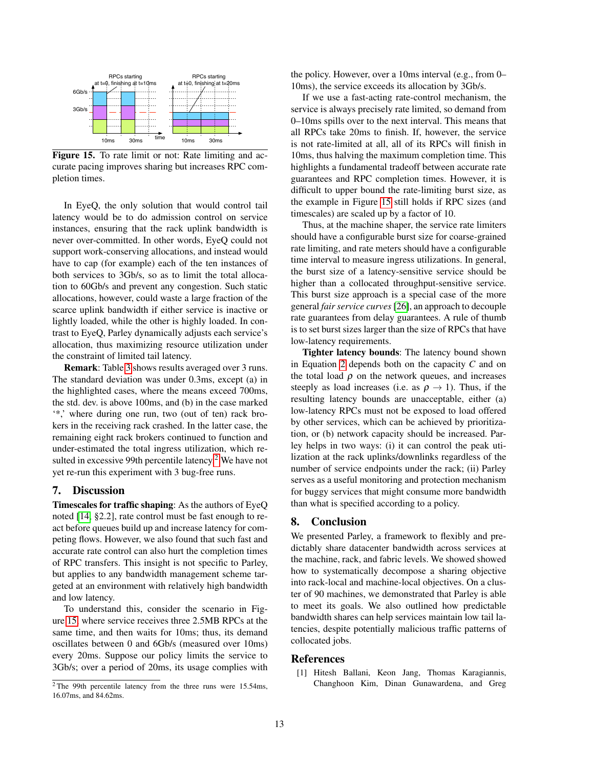

<span id="page-12-3"></span>Figure 15. To rate limit or not: Rate limiting and accurate pacing improves sharing but increases RPC completion times.

In EyeQ, the only solution that would control tail latency would be to do admission control on service instances, ensuring that the rack uplink bandwidth is never over-committed. In other words, EyeQ could not support work-conserving allocations, and instead would have to cap (for example) each of the ten instances of both services to 3Gb/s, so as to limit the total allocation to 60Gb/s and prevent any congestion. Such static allocations, however, could waste a large fraction of the scarce uplink bandwidth if either service is inactive or lightly loaded, while the other is highly loaded. In contrast to EyeQ, Parley dynamically adjusts each service's allocation, thus maximizing resource utilization under the constraint of limited tail latency.

Remark: Table [3](#page-11-1) shows results averaged over 3 runs. The standard deviation was under 0.3ms, except (a) in the highlighted cases, where the means exceed 700ms, the std. dev. is above 100ms, and (b) in the case marked '\*,' where during one run, two (out of ten) rack brokers in the receiving rack crashed. In the latter case, the remaining eight rack brokers continued to function and under-estimated the total ingress utilization, which re-sulted in excessive 99th percentile latency.<sup>[2](#page-12-2)</sup> We have not yet re-run this experiment with 3 bug-free runs.

## <span id="page-12-1"></span>7. Discussion

Timescales for traffic shaping: As the authors of EyeQ noted [\[14,](#page-13-3) §2.2], rate control must be fast enough to react before queues build up and increase latency for competing flows. However, we also found that such fast and accurate rate control can also hurt the completion times of RPC transfers. This insight is not specific to Parley, but applies to any bandwidth management scheme targeted at an environment with relatively high bandwidth and low latency.

To understand this, consider the scenario in Figure [15,](#page-12-3) where service receives three 2.5MB RPCs at the same time, and then waits for 10ms; thus, its demand oscillates between 0 and 6Gb/s (measured over 10ms) every 20ms. Suppose our policy limits the service to 3Gb/s; over a period of 20ms, its usage complies with the policy. However, over a 10ms interval (e.g., from 0– 10ms), the service exceeds its allocation by 3Gb/s.

If we use a fast-acting rate-control mechanism, the service is always precisely rate limited, so demand from 0–10ms spills over to the next interval. This means that all RPCs take 20ms to finish. If, however, the service is not rate-limited at all, all of its RPCs will finish in 10ms, thus halving the maximum completion time. This highlights a fundamental tradeoff between accurate rate guarantees and RPC completion times. However, it is difficult to upper bound the rate-limiting burst size, as the example in Figure [15](#page-12-3) still holds if RPC sizes (and timescales) are scaled up by a factor of 10.

Thus, at the machine shaper, the service rate limiters should have a configurable burst size for coarse-grained rate limiting, and rate meters should have a configurable time interval to measure ingress utilizations. In general, the burst size of a latency-sensitive service should be higher than a collocated throughput-sensitive service. This burst size approach is a special case of the more general *fair service curves*[\[26\]](#page-13-24), an approach to decouple rate guarantees from delay guarantees. A rule of thumb is to set burst sizes larger than the size of RPCs that have low-latency requirements.

Tighter latency bounds: The latency bound shown in Equation [2](#page-7-3) depends both on the capacity *C* and on the total load  $\rho$  on the network queues, and increases steeply as load increases (i.e. as  $\rho \rightarrow 1$ ). Thus, if the resulting latency bounds are unacceptable, either (a) low-latency RPCs must not be exposed to load offered by other services, which can be achieved by prioritization, or (b) network capacity should be increased. Parley helps in two ways: (i) it can control the peak utilization at the rack uplinks/downlinks regardless of the number of service endpoints under the rack; (ii) Parley serves as a useful monitoring and protection mechanism for buggy services that might consume more bandwidth than what is specified according to a policy.

# 8. Conclusion

We presented Parley, a framework to flexibly and predictably share datacenter bandwidth across services at the machine, rack, and fabric levels. We showed showed how to systematically decompose a sharing objective into rack-local and machine-local objectives. On a cluster of 90 machines, we demonstrated that Parley is able to meet its goals. We also outlined how predictable bandwidth shares can help services maintain low tail latencies, despite potentially malicious traffic patterns of collocated jobs.

#### References

<span id="page-12-0"></span>[1] Hitesh Ballani, Keon Jang, Thomas Karagiannis, Changhoon Kim, Dinan Gunawardena, and Greg

<span id="page-12-2"></span> $2$ The 99th percentile latency from the three runs were 15.54ms, 16.07ms, and 84.62ms.